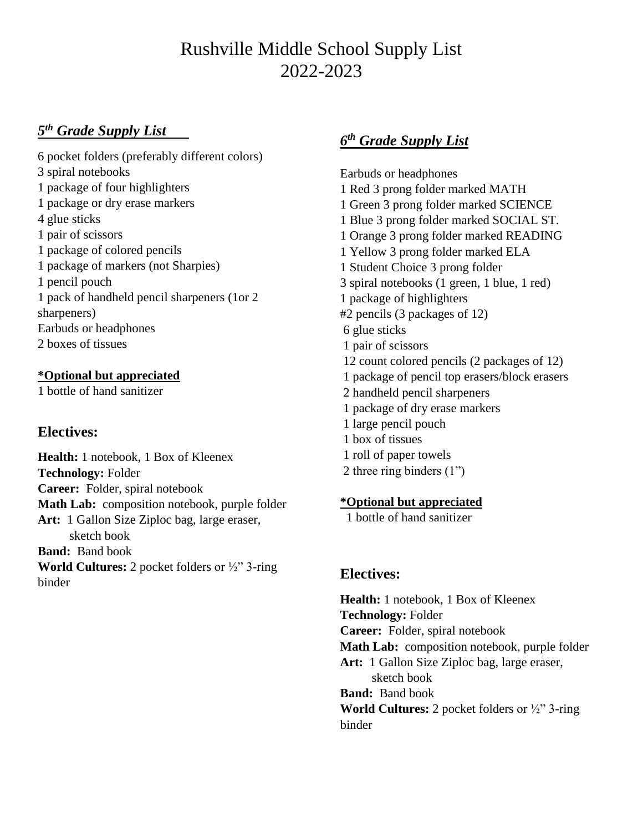# Rushville Middle School Supply List 2022-2023

### *5 th Grade Supply List*

6 pocket folders (preferably different colors) 3 spiral notebooks 1 package of four highlighters 1 package or dry erase markers 4 glue sticks 1 pair of scissors 1 package of colored pencils 1 package of markers (not Sharpies) 1 pencil pouch 1 pack of handheld pencil sharpeners (1or 2 sharpeners) Earbuds or headphones 2 boxes of tissues

### **\*Optional but appreciated**

1 bottle of hand sanitizer

# **Electives:**

**Health:** 1 notebook, 1 Box of Kleenex **Technology:** Folder **Career:** Folder, spiral notebook **Math Lab:** composition notebook, purple folder **Art:** 1 Gallon Size Ziploc bag, large eraser, sketch book **Band:** Band book **World Cultures:** 2 pocket folders or ½" 3-ring binder

# *6 th Grade Supply List*

Earbuds or headphones 1 Red 3 prong folder marked MATH 1 Green 3 prong folder marked SCIENCE 1 Blue 3 prong folder marked SOCIAL ST. 1 Orange 3 prong folder marked READING 1 Yellow 3 prong folder marked ELA 1 Student Choice 3 prong folder 3 spiral notebooks (1 green, 1 blue, 1 red) 1 package of highlighters #2 pencils (3 packages of 12) 6 glue sticks 1 pair of scissors 12 count colored pencils (2 packages of 12) 1 package of pencil top erasers/block erasers 2 handheld pencil sharpeners 1 package of dry erase markers 1 large pencil pouch 1 box of tissues 1 roll of paper towels 2 three ring binders (1")

### **\*Optional but appreciated**

1 bottle of hand sanitizer

# **Electives:**

**Health:** 1 notebook, 1 Box of Kleenex **Technology:** Folder **Career:** Folder, spiral notebook **Math Lab:** composition notebook, purple folder **Art:** 1 Gallon Size Ziploc bag, large eraser, sketch book **Band:** Band book **World Cultures:** 2 pocket folders or ½" 3-ring binder